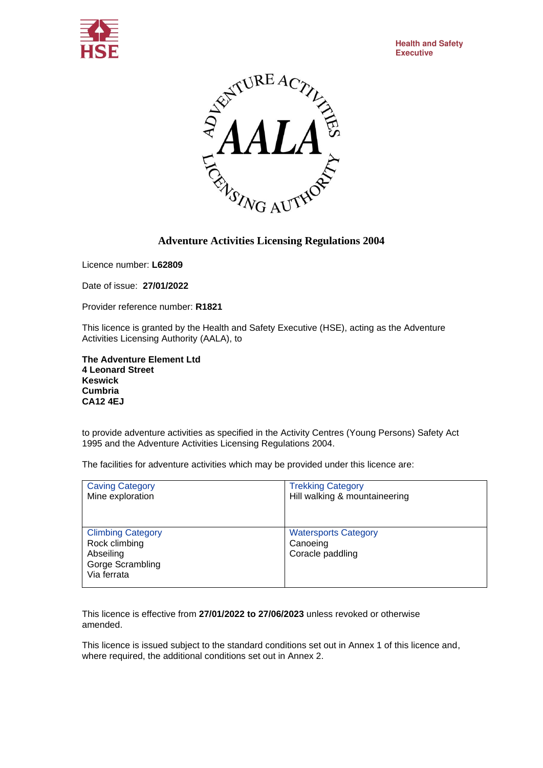



## **Adventure Activities Licensing Regulations 2004**

Licence number: **L62809**

Date of issue: **27/01/2022**

Provider reference number: **R1821**

This licence is granted by the Health and Safety Executive (HSE), acting as the Adventure Activities Licensing Authority (AALA), to

**The Adventure Element Ltd 4 Leonard Street Keswick Cumbria CA12 4EJ**

to provide adventure activities as specified in the Activity Centres (Young Persons) Safety Act 1995 and the Adventure Activities Licensing Regulations 2004.

The facilities for adventure activities which may be provided under this licence are:

| <b>Caving Category</b>                                                                    | <b>Trekking Category</b>                                    |
|-------------------------------------------------------------------------------------------|-------------------------------------------------------------|
| Mine exploration                                                                          | Hill walking & mountaineering                               |
| <b>Climbing Category</b><br>Rock climbing<br>Abseiling<br>Gorge Scrambling<br>Via ferrata | <b>Watersports Category</b><br>Canoeing<br>Coracle paddling |

This licence is effective from **27/01/2022 to 27/06/2023** unless revoked or otherwise amended.

This licence is issued subject to the standard conditions set out in Annex 1 of this licence and, where required, the additional conditions set out in Annex 2.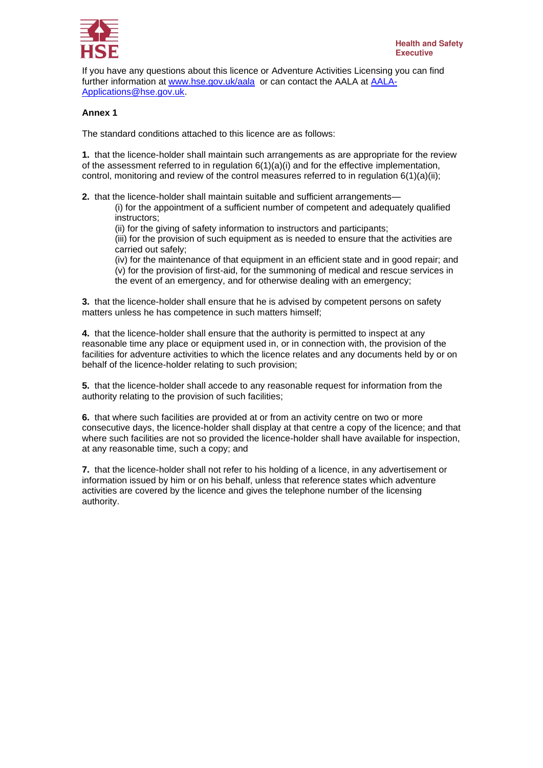

If you have any questions about this licence or Adventure Activities Licensing you can find further information at [www.hse.gov.uk/aala](http://www.hse.gov.uk/aala) or can contact the AALA at [AALA-](mailto:AALA-Applications@hse.gov.uk)[Applications@hse.gov.uk.](mailto:AALA-Applications@hse.gov.uk)

## **Annex 1**

The standard conditions attached to this licence are as follows:

**1.** that the licence-holder shall maintain such arrangements as are appropriate for the review of the assessment referred to in regulation  $6(1)(a)(i)$  and for the effective implementation, control, monitoring and review of the control measures referred to in regulation  $6(1)(a)(ii)$ ;

**2.** that the licence-holder shall maintain suitable and sufficient arrangements—

(i) for the appointment of a sufficient number of competent and adequately qualified instructors;

(ii) for the giving of safety information to instructors and participants;

(iii) for the provision of such equipment as is needed to ensure that the activities are carried out safely;

(iv) for the maintenance of that equipment in an efficient state and in good repair; and (v) for the provision of first-aid, for the summoning of medical and rescue services in the event of an emergency, and for otherwise dealing with an emergency;

**3.** that the licence-holder shall ensure that he is advised by competent persons on safety matters unless he has competence in such matters himself;

**4.** that the licence-holder shall ensure that the authority is permitted to inspect at any reasonable time any place or equipment used in, or in connection with, the provision of the facilities for adventure activities to which the licence relates and any documents held by or on behalf of the licence-holder relating to such provision;

**5.** that the licence-holder shall accede to any reasonable request for information from the authority relating to the provision of such facilities;

**6.** that where such facilities are provided at or from an activity centre on two or more consecutive days, the licence-holder shall display at that centre a copy of the licence; and that where such facilities are not so provided the licence-holder shall have available for inspection, at any reasonable time, such a copy; and

**7.** that the licence-holder shall not refer to his holding of a licence, in any advertisement or information issued by him or on his behalf, unless that reference states which adventure activities are covered by the licence and gives the telephone number of the licensing authority.